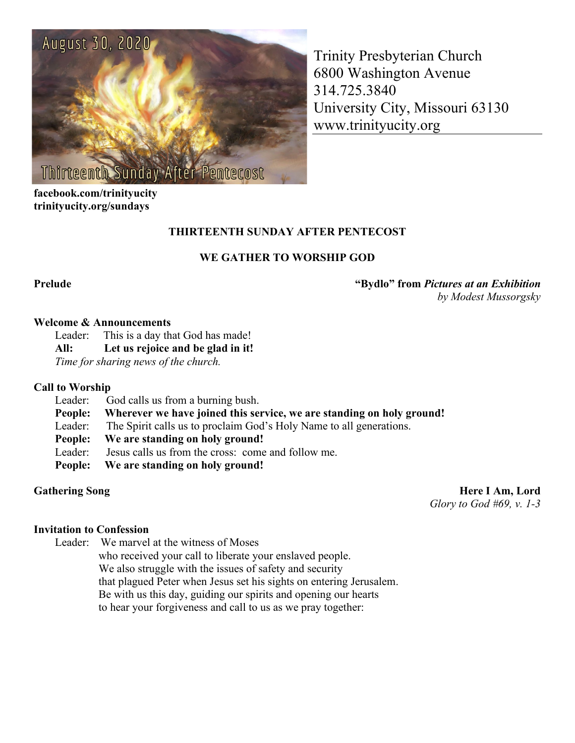# August 30, 2020 Thirteenth Sunday After Pentecost

Trinity Presbyterian Church 6800 Washington Avenue 314.725.3840 University City, Missouri 63130 www.trinityucity.org

**facebook.com/trinityucity trinityucity.org/sundays**

# **THIRTEENTH SUNDAY AFTER PENTECOST**

# **WE GATHER TO WORSHIP GOD**

**Prelude "Bydlo" from** *Pictures at an Exhibition by Modest Mussorgsky*

## **Welcome & Announcements**

Leader: This is a day that God has made!

#### **All: Let us rejoice and be glad in it!**

*Time for sharing news of the church.*

## **Call to Worship**

- Leader: God calls us from a burning bush.
- **People: Wherever we have joined this service, we are standing on holy ground!**
- Leader: The Spirit calls us to proclaim God's Holy Name to all generations.
- **People: We are standing on holy ground!**
- Leader: Jesus calls us from the cross: come and follow me.
- **People: We are standing on holy ground!**

**Gathering Song Here I Am, Lord** *Glory to God #69, v. 1-3*

## **Invitation to Confession**

Leader: We marvel at the witness of Moses

 who received your call to liberate your enslaved people. We also struggle with the issues of safety and security that plagued Peter when Jesus set his sights on entering Jerusalem. Be with us this day, guiding our spirits and opening our hearts to hear your forgiveness and call to us as we pray together: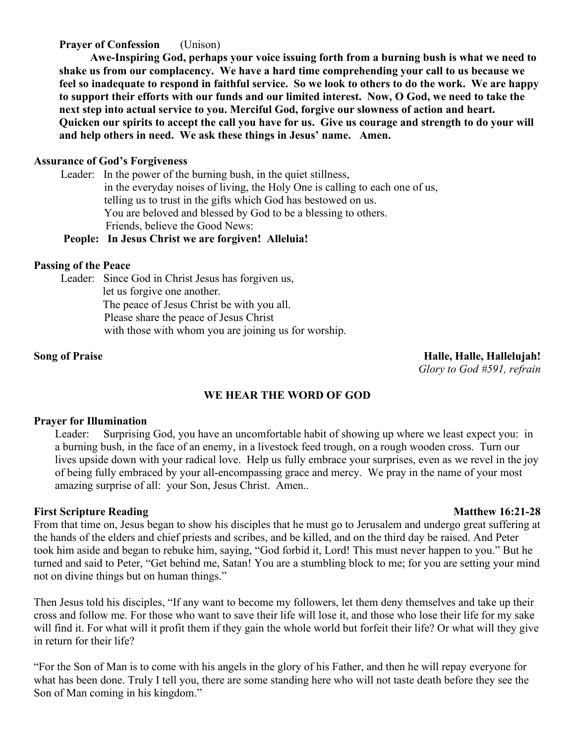#### **Prayer of Confession** (Unison)

 **Awe-Inspiring God, perhaps your voice issuing forth from a burning bush is what we need to shake us from our complacency. We have a hard time comprehending your call to us because we feel so inadequate to respond in faithful service. So we look to others to do the work. We are happy to support their efforts with our funds and our limited interest. Now, O God, we need to take the next step into actual service to you. Merciful God, forgive our slowness of action and heart. Quicken our spirits to accept the call you have for us. Give us courage and strength to do your will and help others in need. We ask these things in Jesus' name. Amen.**

#### **Assurance of God's Forgiveness**

Leader: In the power of the burning bush, in the quiet stillness, in the everyday noises of living, the Holy One is calling to each one of us, telling us to trust in the gifts which God has bestowed on us. You are beloved and blessed by God to be a blessing to others. Friends, believe the Good News:

#### **People: In Jesus Christ we are forgiven! Alleluia!**

#### **Passing of the Peace**

 Leader: Since God in Christ Jesus has forgiven us, let us forgive one another. The peace of Jesus Christ be with you all. Please share the peace of Jesus Christ with those with whom you are joining us for worship.

**Song of Praise Halle, Halle, Hallelujah!** *Glory to God #591, refrain*

## **WE HEAR THE WORD OF GOD**

#### **Prayer for Illumination**

Leader: Surprising God, you have an uncomfortable habit of showing up where we least expect you: in a burning bush, in the face of an enemy, in a livestock feed trough, on a rough wooden cross. Turn our lives upside down with your radical love. Help us fully embrace your surprises, even as we revel in the joy of being fully embraced by your all-encompassing grace and mercy. We pray in the name of your most amazing surprise of all: your Son, Jesus Christ. Amen..

## **First Scripture Reading Matthew 16:21-28**

From that time on, Jesus began to show his disciples that he must go to Jerusalem and undergo great suffering at the hands of the elders and chief priests and scribes, and be killed, and on the third day be raised. And Peter took him aside and began to rebuke him, saying, "God forbid it, Lord! This must never happen to you." But he turned and said to Peter, "Get behind me, Satan! You are a stumbling block to me; for you are setting your mind not on divine things but on human things."

Then Jesus told his disciples, "If any want to become my followers, let them deny themselves and take up their cross and follow me. For those who want to save their life will lose it, and those who lose their life for my sake will find it. For what will it profit them if they gain the whole world but forfeit their life? Or what will they give in return for their life?

"For the Son of Man is to come with his angels in the glory of his Father, and then he will repay everyone for what has been done. Truly I tell you, there are some standing here who will not taste death before they see the Son of Man coming in his kingdom."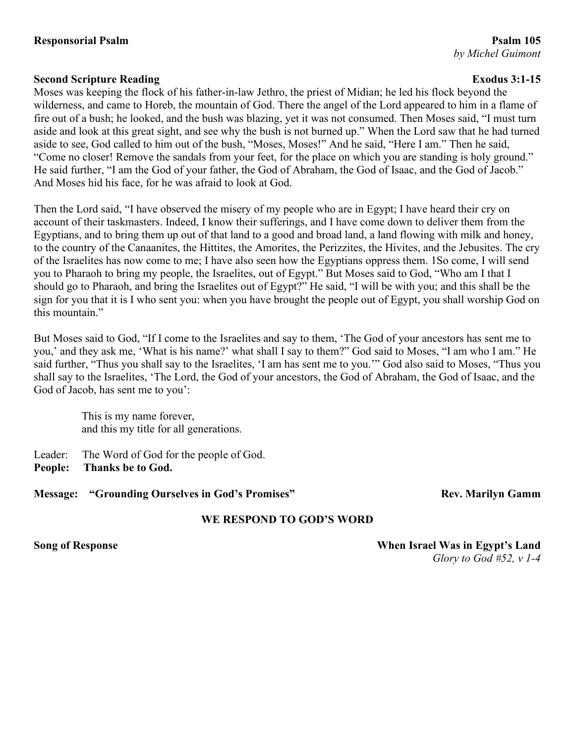#### **Responsorial Psalm Psalm 105**

#### **Second Scripture Reading Exodus 3:1-15**

*by Michel Guimont*

Moses was keeping the flock of his father-in-law Jethro, the priest of Midian; he led his flock beyond the wilderness, and came to Horeb, the mountain of God. There the angel of the Lord appeared to him in a flame of fire out of a bush; he looked, and the bush was blazing, yet it was not consumed. Then Moses said, "I must turn aside and look at this great sight, and see why the bush is not burned up." When the Lord saw that he had turned aside to see, God called to him out of the bush, "Moses, Moses!" And he said, "Here I am." Then he said, "Come no closer! Remove the sandals from your feet, for the place on which you are standing is holy ground." He said further, "I am the God of your father, the God of Abraham, the God of Isaac, and the God of Jacob." And Moses hid his face, for he was afraid to look at God.

Then the Lord said, "I have observed the misery of my people who are in Egypt; I have heard their cry on account of their taskmasters. Indeed, I know their sufferings, and I have come down to deliver them from the Egyptians, and to bring them up out of that land to a good and broad land, a land flowing with milk and honey, to the country of the Canaanites, the Hittites, the Amorites, the Perizzites, the Hivites, and the Jebusites. The cry of the Israelites has now come to me; I have also seen how the Egyptians oppress them. 1So come, I will send you to Pharaoh to bring my people, the Israelites, out of Egypt." But Moses said to God, "Who am I that I should go to Pharaoh, and bring the Israelites out of Egypt?" He said, "I will be with you; and this shall be the sign for you that it is I who sent you: when you have brought the people out of Egypt, you shall worship God on this mountain."

But Moses said to God, "If I come to the Israelites and say to them, 'The God of your ancestors has sent me to you,' and they ask me, 'What is his name?' what shall I say to them?" God said to Moses, "I am who I am." He said further, "Thus you shall say to the Israelites, 'I am has sent me to you.'" God also said to Moses, "Thus you shall say to the Israelites, 'The Lord, the God of your ancestors, the God of Abraham, the God of Isaac, and the God of Jacob, has sent me to you':

 This is my name forever, and this my title for all generations.

- Leader: The Word of God for the people of God. **People: Thanks be to God.**
- **Message: "Grounding Ourselves in God's Promises"** Rev. Marilyn Gamm

## **WE RESPOND TO GOD'S WORD**

**Song of Response When Israel Was in Egypt's Land** *Glory to God #52, v 1-4*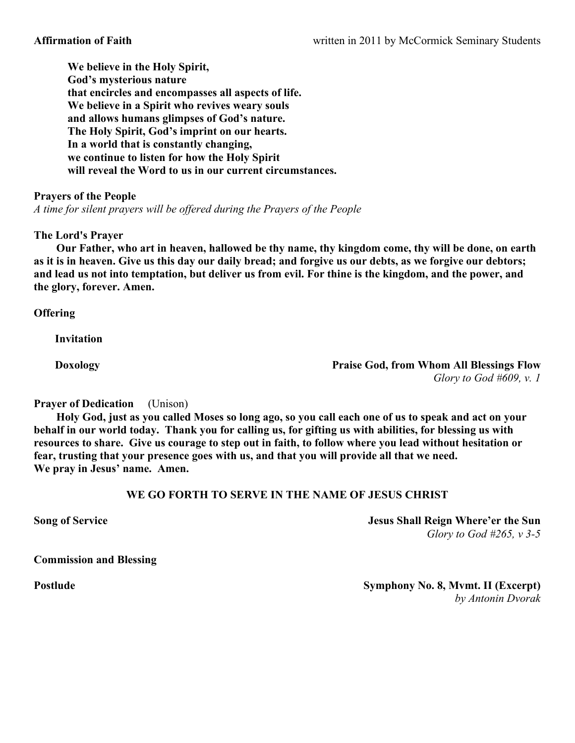**We believe in the Holy Spirit, God's mysterious nature that encircles and encompasses all aspects of life. We believe in a Spirit who revives weary souls and allows humans glimpses of God's nature. The Holy Spirit, God's imprint on our hearts. In a world that is constantly changing, we continue to listen for how the Holy Spirit will reveal the Word to us in our current circumstances.**

#### **Prayers of the People**

*A time for silent prayers will be offered during the Prayers of the People*

#### **The Lord's Prayer**

 **Our Father, who art in heaven, hallowed be thy name, thy kingdom come, thy will be done, on earth as it is in heaven. Give us this day our daily bread; and forgive us our debts, as we forgive our debtors; and lead us not into temptation, but deliver us from evil. For thine is the kingdom, and the power, and the glory, forever. Amen.**

**Offering**

**Invitation**

**Doxology Praise God, from Whom All Blessings Flow** *Glory to God #609, v. 1*

**Prayer of Dedication** (Unison)

 **Holy God, just as you called Moses so long ago, so you call each one of us to speak and act on your behalf in our world today. Thank you for calling us, for gifting us with abilities, for blessing us with resources to share. Give us courage to step out in faith, to follow where you lead without hesitation or fear, trusting that your presence goes with us, and that you will provide all that we need. We pray in Jesus' name. Amen.**

## **WE GO FORTH TO SERVE IN THE NAME OF JESUS CHRIST**

**Song of Service Jesus Shall Reign Where'er the Sun** *Glory to God #265, v 3-5*

**Commission and Blessing**

**Postlude Symphony No. 8, Mymt. II (Excerpt)** *by Antonin Dvorak*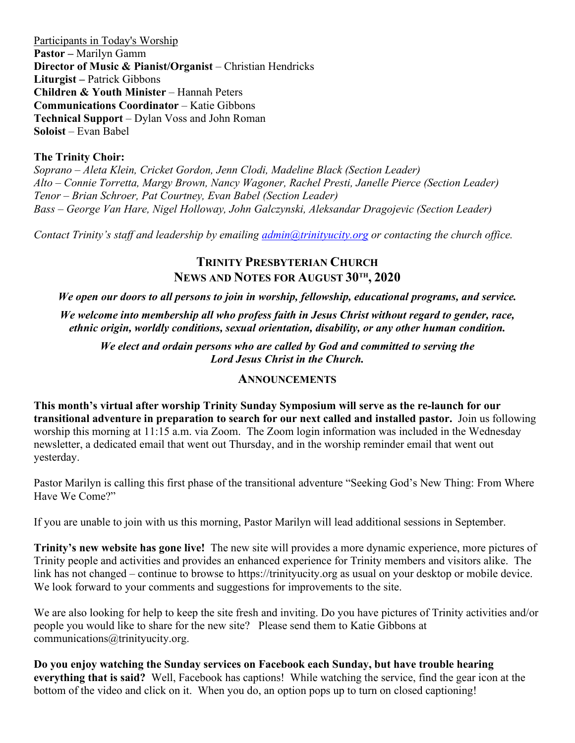Participants in Today's Worship **Pastor –** Marilyn Gamm **Director of Music & Pianist/Organist** – Christian Hendricks **Liturgist –** Patrick Gibbons **Children & Youth Minister** – Hannah Peters **Communications Coordinator** – Katie Gibbons **Technical Support** – Dylan Voss and John Roman **Soloist** – Evan Babel

#### **The Trinity Choir:**

*Soprano – Aleta Klein, Cricket Gordon, Jenn Clodi, Madeline Black (Section Leader) Alto – Connie Torretta, Margy Brown, Nancy Wagoner, Rachel Presti, Janelle Pierce (Section Leader) Tenor – Brian Schroer, Pat Courtney, Evan Babel (Section Leader) Bass – George Van Hare, Nigel Holloway, John Galczynski, Aleksandar Dragojevic (Section Leader)*

*Contact Trinity's staff and leadership by emailing [admin@trinityucity.org](mailto:admin@trinityucity.org) or contacting the church office.*

# **TRINITY PRESBYTERIAN CHURCH NEWS AND NOTES FOR AUGUST 30TH , 2020**

*We open our doors to all persons to join in worship, fellowship, educational programs, and service.*

*We welcome into membership all who profess faith in Jesus Christ without regard to gender, race, ethnic origin, worldly conditions, sexual orientation, disability, or any other human condition.*

*We elect and ordain persons who are called by God and committed to serving the Lord Jesus Christ in the Church.*

## **ANNOUNCEMENTS**

**This month's virtual after worship Trinity Sunday Symposium will serve as the re-launch for our transitional adventure in preparation to search for our next called and installed pastor.** Join us following worship this morning at 11:15 a.m. via Zoom. The Zoom login information was included in the Wednesday newsletter, a dedicated email that went out Thursday, and in the worship reminder email that went out yesterday.

Pastor Marilyn is calling this first phase of the transitional adventure "Seeking God's New Thing: From Where Have We Come?"

If you are unable to join with us this morning, Pastor Marilyn will lead additional sessions in September.

**Trinity's new website has gone live!** The new site will provides a more dynamic experience, more pictures of Trinity people and activities and provides an enhanced experience for Trinity members and visitors alike. The link has not changed – continue to browse to https://trinityucity.org as usual on your desktop or mobile device. We look forward to your comments and suggestions for improvements to the site.

We are also looking for help to keep the site fresh and inviting. Do you have pictures of Trinity activities and/or people you would like to share for the new site? Please send them to Katie Gibbons at communications@trinityucity.org.

**Do you enjoy watching the Sunday services on Facebook each Sunday, but have trouble hearing everything that is said?** Well, Facebook has captions! While watching the service, find the gear icon at the bottom of the video and click on it. When you do, an option pops up to turn on closed captioning!